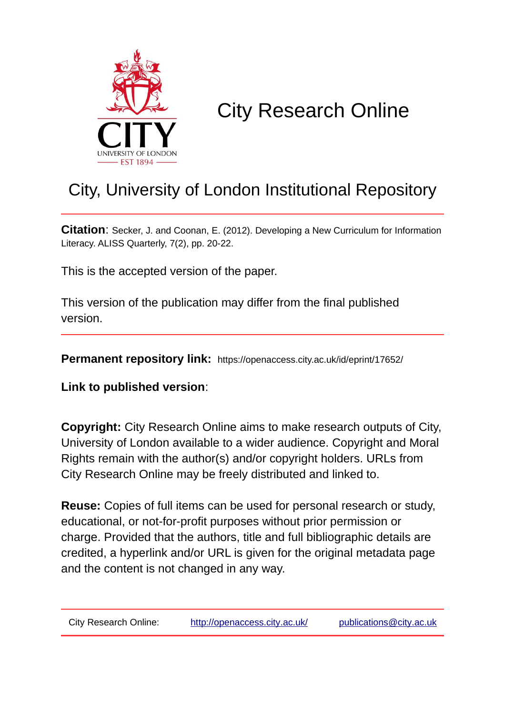

## City Research Online

## City, University of London Institutional Repository

**Citation**: Secker, J. and Coonan, E. (2012). Developing a New Curriculum for Information Literacy. ALISS Quarterly, 7(2), pp. 20-22.

This is the accepted version of the paper.

This version of the publication may differ from the final published version.

**Permanent repository link:** https://openaccess.city.ac.uk/id/eprint/17652/

**Link to published version**:

**Copyright:** City Research Online aims to make research outputs of City, University of London available to a wider audience. Copyright and Moral Rights remain with the author(s) and/or copyright holders. URLs from City Research Online may be freely distributed and linked to.

**Reuse:** Copies of full items can be used for personal research or study, educational, or not-for-profit purposes without prior permission or charge. Provided that the authors, title and full bibliographic details are credited, a hyperlink and/or URL is given for the original metadata page and the content is not changed in any way.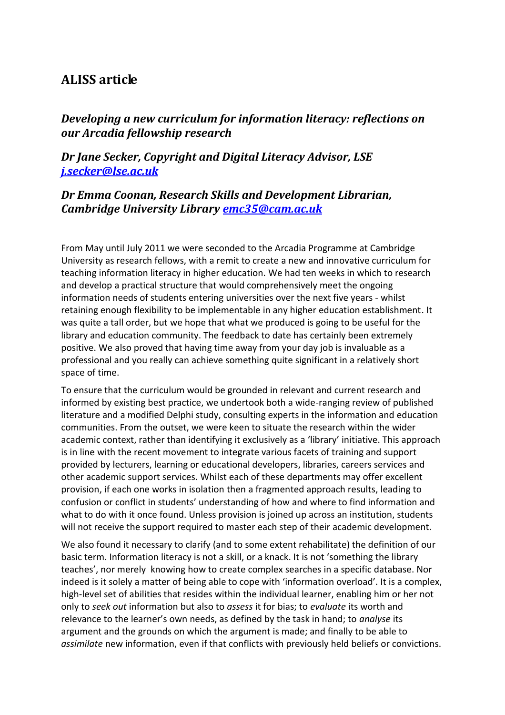## **ALISS article**

*Developing a new curriculum for information literacy: reflections on our Arcadia fellowship research*

*Dr Jane Secker, Copyright and Digital Literacy Advisor, LSE [j.secker@lse.ac.uk](mailto:j.secker@lse.ac.uk)*

## *Dr Emma Coonan, Research Skills and Development Librarian, Cambridge University Library [emc35@cam.ac.uk](mailto:emc35@cam.ac.uk)*

From May until July 2011 we were seconded to the Arcadia Programme at Cambridge University as research fellows, with a remit to create a new and innovative curriculum for teaching information literacy in higher education. We had ten weeks in which to research and develop a practical structure that would comprehensively meet the ongoing information needs of students entering universities over the next five years - whilst retaining enough flexibility to be implementable in any higher education establishment. It was quite a tall order, but we hope that what we produced is going to be useful for the library and education community. The feedback to date has certainly been extremely positive. We also proved that having time away from your day job is invaluable as a professional and you really can achieve something quite significant in a relatively short space of time.

To ensure that the curriculum would be grounded in relevant and current research and informed by existing best practice, we undertook both a wide-ranging review of published literature and a modified Delphi study, consulting experts in the information and education communities. From the outset, we were keen to situate the research within the wider academic context, rather than identifying it exclusively as a 'library' initiative. This approach is in line with the recent movement to integrate various facets of training and support provided by lecturers, learning or educational developers, libraries, careers services and other academic support services. Whilst each of these departments may offer excellent provision, if each one works in isolation then a fragmented approach results, leading to confusion or conflict in students' understanding of how and where to find information and what to do with it once found. Unless provision is joined up across an institution, students will not receive the support required to master each step of their academic development.

We also found it necessary to clarify (and to some extent rehabilitate) the definition of our basic term. Information literacy is not a skill, or a knack. It is not 'something the library teaches', nor merely knowing how to create complex searches in a specific database. Nor indeed is it solely a matter of being able to cope with 'information overload'. It is a complex, high-level set of abilities that resides within the individual learner, enabling him or her not only to *seek out* information but also to *assess* it for bias; to *evaluate* its worth and relevance to the learner's own needs, as defined by the task in hand; to *analyse* its argument and the grounds on which the argument is made; and finally to be able to *assimilate* new information, even if that conflicts with previously held beliefs or convictions.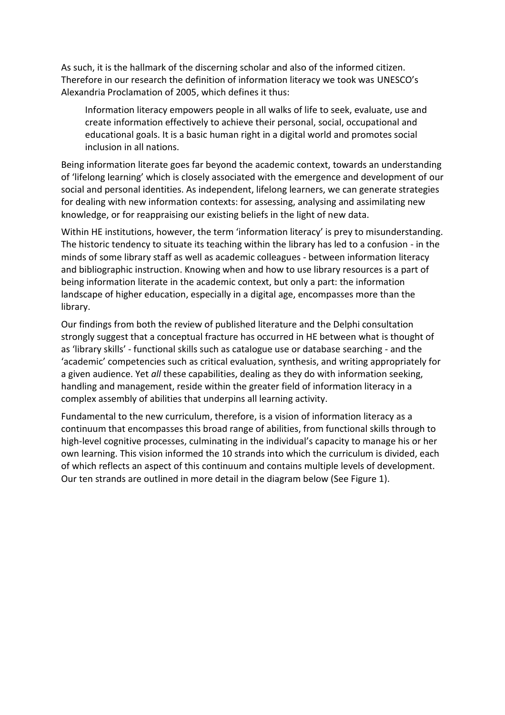As such, it is the hallmark of the discerning scholar and also of the informed citizen. Therefore in our research the definition of information literacy we took was UNESCO's Alexandria Proclamation of 2005, which defines it thus:

Information literacy empowers people in all walks of life to seek, evaluate, use and create information effectively to achieve their personal, social, occupational and educational goals. It is a basic human right in a digital world and promotes social inclusion in all nations.

Being information literate goes far beyond the academic context, towards an understanding of 'lifelong learning' which is closely associated with the emergence and development of our social and personal identities. As independent, lifelong learners, we can generate strategies for dealing with new information contexts: for assessing, analysing and assimilating new knowledge, or for reappraising our existing beliefs in the light of new data.

Within HE institutions, however, the term 'information literacy' is prey to misunderstanding. The historic tendency to situate its teaching within the library has led to a confusion - in the minds of some library staff as well as academic colleagues - between information literacy and bibliographic instruction. Knowing when and how to use library resources is a part of being information literate in the academic context, but only a part: the information landscape of higher education, especially in a digital age, encompasses more than the library.

Our findings from both the review of published literature and the Delphi consultation strongly suggest that a conceptual fracture has occurred in HE between what is thought of as 'library skills' - functional skills such as catalogue use or database searching - and the 'academic' competencies such as critical evaluation, synthesis, and writing appropriately for a given audience. Yet *all* these capabilities, dealing as they do with information seeking, handling and management, reside within the greater field of information literacy in a complex assembly of abilities that underpins all learning activity.

Fundamental to the new curriculum, therefore, is a vision of information literacy as a continuum that encompasses this broad range of abilities, from functional skills through to high-level cognitive processes, culminating in the individual's capacity to manage his or her own learning. This vision informed the 10 strands into which the curriculum is divided, each of which reflects an aspect of this continuum and contains multiple levels of development. Our ten strands are outlined in more detail in the diagram below (See Figure 1).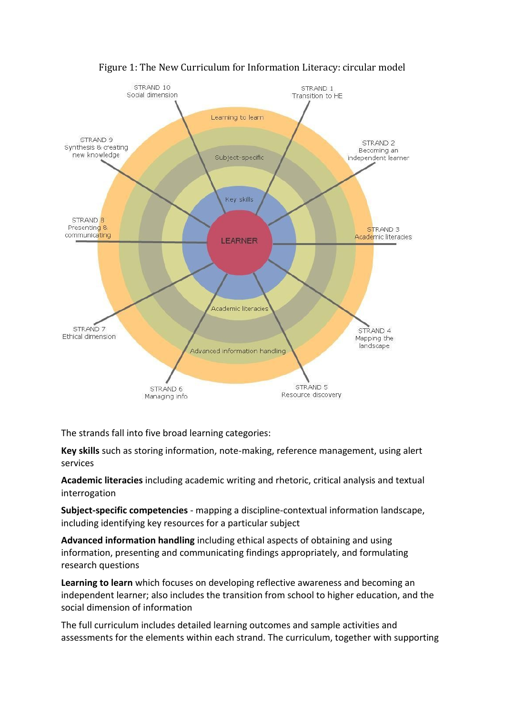

Figure 1: The New Curriculum for Information Literacy: circular model

The strands fall into five broad learning categories:

**Key skills** such as storing information, note-making, reference management, using alert services

**Academic literacies** including academic writing and rhetoric, critical analysis and textual interrogation

**Subject-specific competencies** - mapping a discipline-contextual information landscape, including identifying key resources for a particular subject

**Advanced information handling** including ethical aspects of obtaining and using information, presenting and communicating findings appropriately, and formulating research questions

**Learning to learn** which focuses on developing reflective awareness and becoming an independent learner; also includes the transition from school to higher education, and the social dimension of information

The full curriculum includes detailed learning outcomes and sample activities and assessments for the elements within each strand. The curriculum, together with supporting